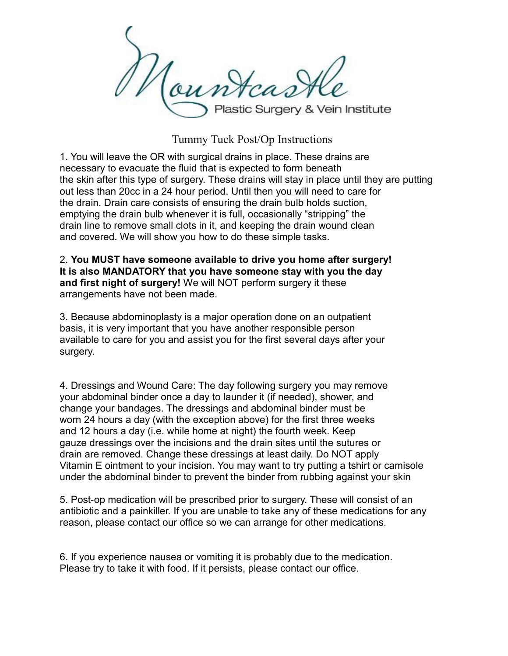Noun Plastic Surgery & Vein Institute

Tummy Tuck Post/Op Instructions

1. You will leave the OR with surgical drains in place. These drains are necessary to evacuate the fluid that is expected to form beneath the skin after this type of surgery. These drains will stay in place until they are putting out less than 20cc in a 24 hour period. Until then you will need to care for the drain. Drain care consists of ensuring the drain bulb holds suction, emptying the drain bulb whenever it is full, occasionally "stripping" the drain line to remove small clots in it, and keeping the drain wound clean and covered. We will show you how to do these simple tasks.

2. **You MUST have someone available to drive you home after surgery! It is also MANDATORY that you have someone stay with you the day and first night of surgery!** We will NOT perform surgery it these arrangements have not been made.

3. Because abdominoplasty is a major operation done on an outpatient basis, it is very important that you have another responsible person available to care for you and assist you for the first several days after your surgery.

4. Dressings and Wound Care: The day following surgery you may remove your abdominal binder once a day to launder it (if needed), shower, and change your bandages. The dressings and abdominal binder must be worn 24 hours a day (with the exception above) for the first three weeks and 12 hours a day (i.e. while home at night) the fourth week. Keep gauze dressings over the incisions and the drain sites until the sutures or drain are removed. Change these dressings at least daily. Do NOT apply Vitamin E ointment to your incision. You may want to try putting a tshirt or camisole under the abdominal binder to prevent the binder from rubbing against your skin

5. Post-op medication will be prescribed prior to surgery. These will consist of an antibiotic and a painkiller. If you are unable to take any of these medications for any reason, please contact our office so we can arrange for other medications.

6. If you experience nausea or vomiting it is probably due to the medication. Please try to take it with food. If it persists, please contact our office.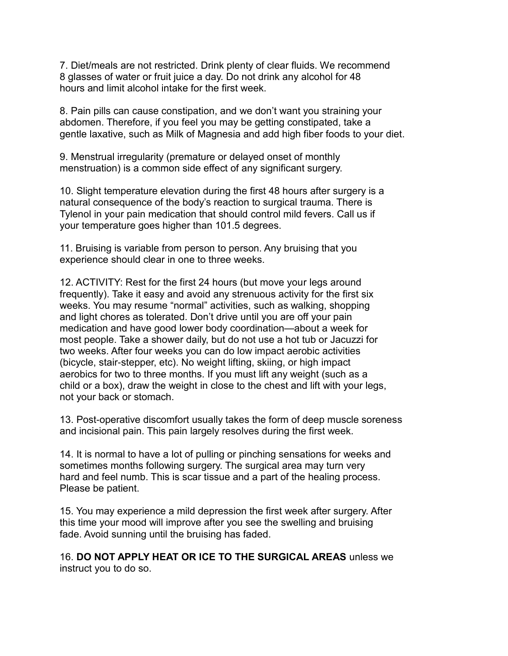7. Diet/meals are not restricted. Drink plenty of clear fluids. We recommend 8 glasses of water or fruit juice a day. Do not drink any alcohol for 48 hours and limit alcohol intake for the first week.

8. Pain pills can cause constipation, and we don't want you straining your abdomen. Therefore, if you feel you may be getting constipated, take a gentle laxative, such as Milk of Magnesia and add high fiber foods to your diet.

9. Menstrual irregularity (premature or delayed onset of monthly menstruation) is a common side effect of any significant surgery.

10. Slight temperature elevation during the first 48 hours after surgery is a natural consequence of the body's reaction to surgical trauma. There is Tylenol in your pain medication that should control mild fevers. Call us if your temperature goes higher than 101.5 degrees.

11. Bruising is variable from person to person. Any bruising that you experience should clear in one to three weeks.

12. ACTIVITY: Rest for the first 24 hours (but move your legs around frequently). Take it easy and avoid any strenuous activity for the first six weeks. You may resume "normal" activities, such as walking, shopping and light chores as tolerated. Don't drive until you are off your pain medication and have good lower body coordination—about a week for most people. Take a shower daily, but do not use a hot tub or Jacuzzi for two weeks. After four weeks you can do low impact aerobic activities (bicycle, stair-stepper, etc). No weight lifting, skiing, or high impact aerobics for two to three months. If you must lift any weight (such as a child or a box), draw the weight in close to the chest and lift with your legs, not your back or stomach.

13. Post-operative discomfort usually takes the form of deep muscle soreness and incisional pain. This pain largely resolves during the first week.

14. It is normal to have a lot of pulling or pinching sensations for weeks and sometimes months following surgery. The surgical area may turn very hard and feel numb. This is scar tissue and a part of the healing process. Please be patient.

15. You may experience a mild depression the first week after surgery. After this time your mood will improve after you see the swelling and bruising fade. Avoid sunning until the bruising has faded.

16. **DO NOT APPLY HEAT OR ICE TO THE SURGICAL AREAS** unless we instruct you to do so.